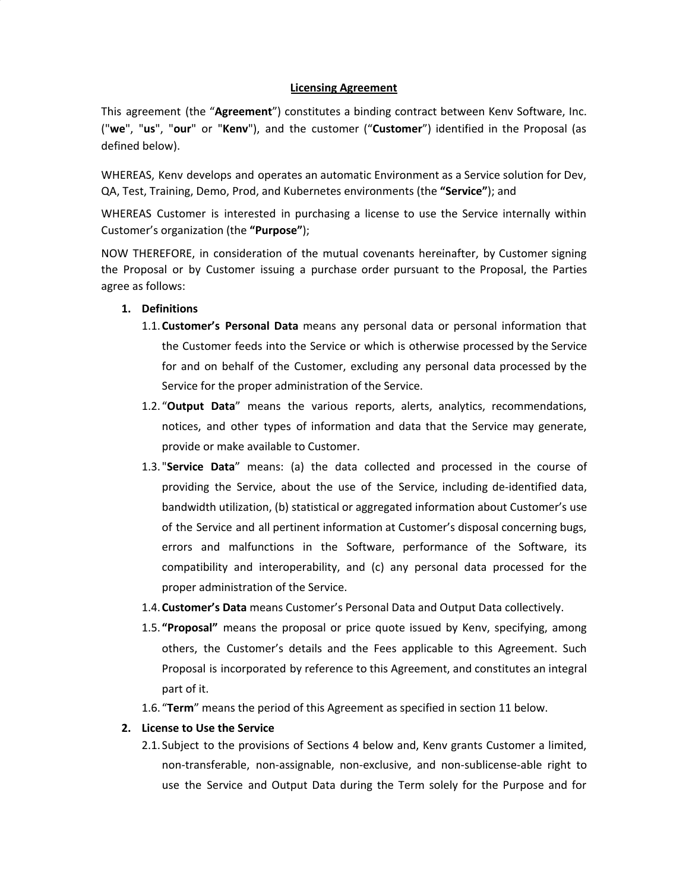# **Licensing Agreement**

This agreement (the "**Agreement**") constitutes a binding contract between Kenv Software, Inc. ("**we**", "**us**", "**our**" or "**Kenv**"), and the customer ("**Customer**") identified in the Proposal (as defined below).

WHEREAS, Kenv develops and operates an automatic Environment as a Service solution for Dev, QA, Test, Training, Demo, Prod, and Kubernetes environments (the **"Service"**); and

WHEREAS Customer is interested in purchasing a license to use the Service internally within Customer's organization (the **"Purpose"**);

NOW THEREFORE, in consideration of the mutual covenants hereinafter, by Customer signing the Proposal or by Customer issuing a purchase order pursuant to the Proposal, the Parties agree as follows:

# **1. Definitions**

- 1.1.**Customer's Personal Data** means any personal data or personal information that the Customer feeds into the Service or which is otherwise processed by the Service for and on behalf of the Customer, excluding any personal data processed by the Service for the proper administration of the Service.
- 1.2. "**Output Data**" means the various reports, alerts, analytics, recommendations, notices, and other types of information and data that the Service may generate, provide or make available to Customer.
- 1.3. "**Service Data**" means: (a) the data collected and processed in the course of providing the Service, about the use of the Service, including de-identified data, bandwidth utilization, (b) statistical or aggregated information about Customer's use of the Service and all pertinent information at Customer's disposal concerning bugs, errors and malfunctions in the Software, performance of the Software, its compatibility and interoperability, and (c) any personal data processed for the proper administration of the Service.
- 1.4.**Customer's Data** means Customer's Personal Data and Output Data collectively.
- 1.5. **"Proposal"** means the proposal or price quote issued by Kenv, specifying, among others, the Customer's details and the Fees applicable to this Agreement. Such Proposal is incorporated by reference to this Agreement, and constitutes an integral part of it.
- 1.6. "**Term**" means the period of this Agreement as specified in section 11 below.

## **2. License to Use the Service**

2.1. Subject to the provisions of Sections 4 below and, Kenv grants Customer a limited, non-transferable, non-assignable, non-exclusive, and non-sublicense-able right to use the Service and Output Data during the Term solely for the Purpose and for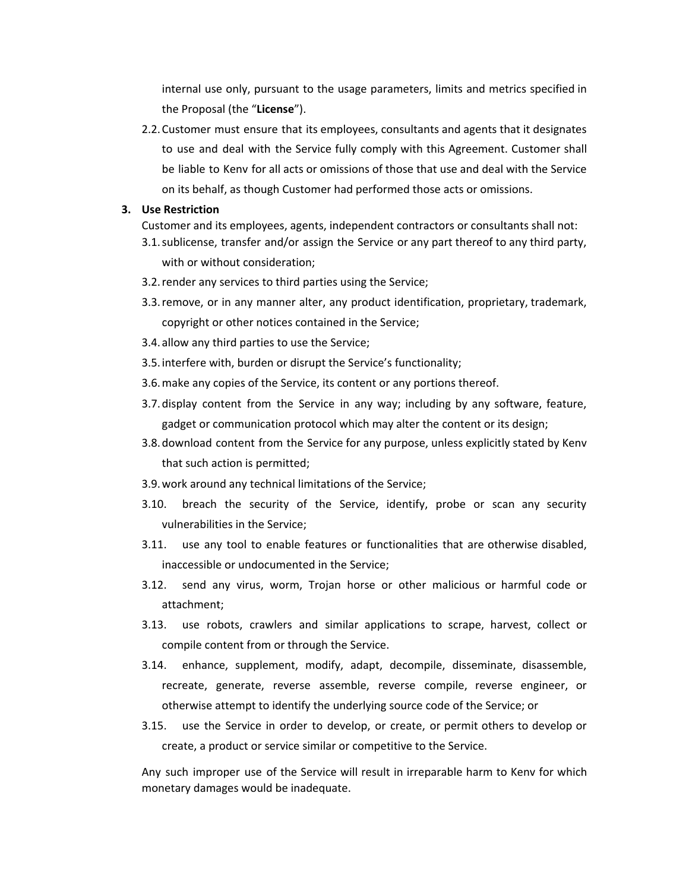internal use only, pursuant to the usage parameters, limits and metrics specified in the Proposal (the "**License**").

2.2.Customer must ensure that its employees, consultants and agents that it designates to use and deal with the Service fully comply with this Agreement. Customer shall be liable to Kenv for all acts or omissions of those that use and deal with the Service on its behalf, as though Customer had performed those acts or omissions.

### **3. Use Restriction**

Customer and its employees, agents, independent contractors or consultants shall not:

- 3.1.sublicense, transfer and/or assign the Service or any part thereof to any third party, with or without consideration;
- 3.2.render any services to third parties using the Service;
- 3.3.remove, or in any manner alter, any product identification, proprietary, trademark, copyright or other notices contained in the Service;
- 3.4.allow any third parties to use the Service;
- 3.5.interfere with, burden or disrupt the Service's functionality;
- 3.6.make any copies of the Service, its content or any portions thereof.
- 3.7.display content from the Service in any way; including by any software, feature, gadget or communication protocol which may alter the content or its design;
- 3.8.download content from the Service for any purpose, unless explicitly stated by Kenv that such action is permitted;
- 3.9.work around any technical limitations of the Service;
- 3.10. breach the security of the Service, identify, probe or scan any security vulnerabilities in the Service;
- 3.11. use any tool to enable features or functionalities that are otherwise disabled, inaccessible or undocumented in the Service;
- 3.12. send any virus, worm, Trojan horse or other malicious or harmful code or attachment;
- 3.13. use robots, crawlers and similar applications to scrape, harvest, collect or compile content from or through the Service.
- 3.14. enhance, supplement, modify, adapt, decompile, disseminate, disassemble, recreate, generate, reverse assemble, reverse compile, reverse engineer, or otherwise attempt to identify the underlying source code of the Service; or
- 3.15. use the Service in order to develop, or create, or permit others to develop or create, a product or service similar or competitive to the Service.

Any such improper use of the Service will result in irreparable harm to Kenv for which monetary damages would be inadequate.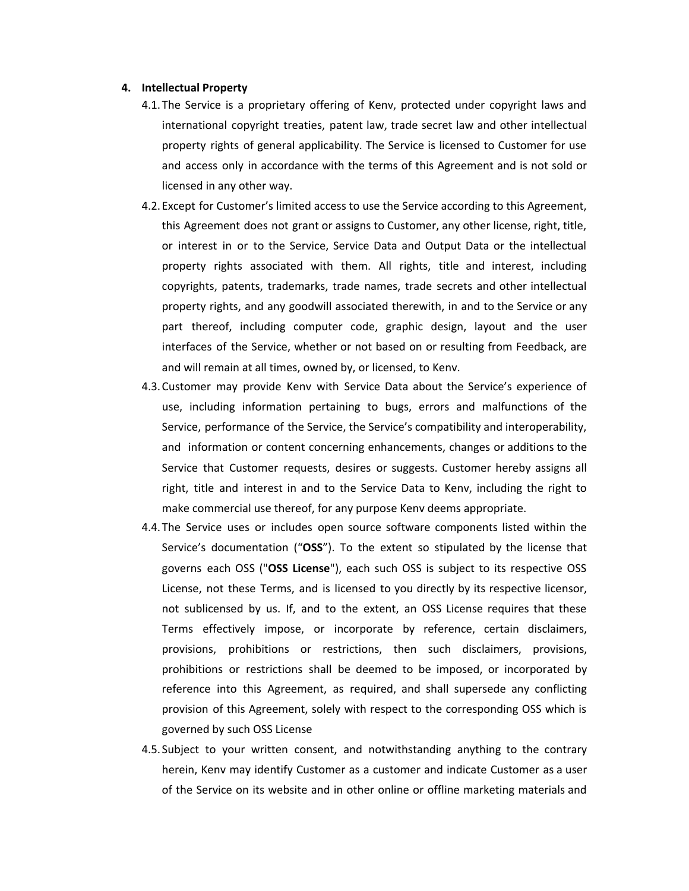### **4. Intellectual Property**

- 4.1.The Service is a proprietary offering of Kenv, protected under copyright laws and international copyright treaties, patent law, trade secret law and other intellectual property rights of general applicability. The Service is licensed to Customer for use and access only in accordance with the terms of this Agreement and is not sold or licensed in any other way.
- 4.2.Except for Customer's limited access to use the Service according to this Agreement, this Agreement does not grant or assigns to Customer, any other license, right, title, or interest in or to the Service, Service Data and Output Data or the intellectual property rights associated with them. All rights, title and interest, including copyrights, patents, trademarks, trade names, trade secrets and other intellectual property rights, and any goodwill associated therewith, in and to the Service or any part thereof, including computer code, graphic design, layout and the user interfaces of the Service, whether or not based on or resulting from Feedback, are and will remain at all times, owned by, or licensed, to Kenv.
- 4.3.Customer may provide Kenv with Service Data about the Service's experience of use, including information pertaining to bugs, errors and malfunctions of the Service, performance of the Service, the Service's compatibility and interoperability, and information or content concerning enhancements, changes or additions to the Service that Customer requests, desires or suggests. Customer hereby assigns all right, title and interest in and to the Service Data to Kenv, including the right to make commercial use thereof, for any purpose Kenv deems appropriate.
- 4.4.The Service uses or includes open source software components listed within the Service's documentation ("**OSS**"). To the extent so stipulated by the license that governs each OSS ("**OSS License**"), each such OSS is subject to its respective OSS License, not these Terms, and is licensed to you directly by its respective licensor, not sublicensed by us. If, and to the extent, an OSS License requires that these Terms effectively impose, or incorporate by reference, certain disclaimers, provisions, prohibitions or restrictions, then such disclaimers, provisions, prohibitions or restrictions shall be deemed to be imposed, or incorporated by reference into this Agreement, as required, and shall supersede any conflicting provision of this Agreement, solely with respect to the corresponding OSS which is governed by such OSS License
- 4.5. Subject to your written consent, and notwithstanding anything to the contrary herein, Kenv may identify Customer as a customer and indicate Customer as a user of the Service on its website and in other online or offline marketing materials and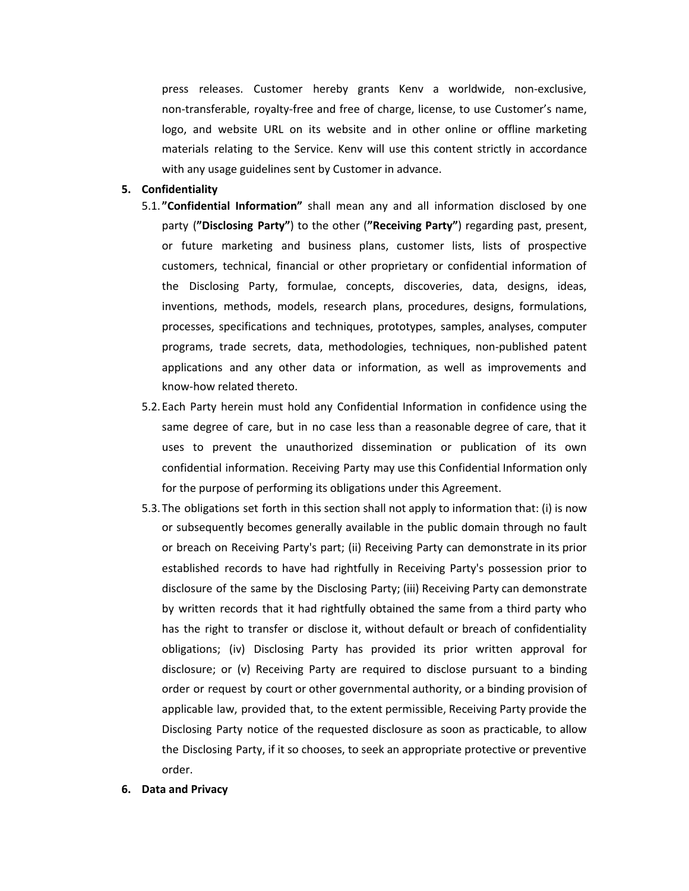press releases. Customer hereby grants Kenv a worldwide, non-exclusive, non-transferable, royalty-free and free of charge, license, to use Customer's name, logo, and website URL on its website and in other online or offline marketing materials relating to the Service. Kenv will use this content strictly in accordance with any usage guidelines sent by Customer in advance.

#### **5. Confidentiality**

- 5.1. **"Confidential Information"** shall mean any and all information disclosed by one party (**"Disclosing Party"**) to the other (**"Receiving Party"**) regarding past, present, or future marketing and business plans, customer lists, lists of prospective customers, technical, financial or other proprietary or confidential information of the Disclosing Party, formulae, concepts, discoveries, data, designs, ideas, inventions, methods, models, research plans, procedures, designs, formulations, processes, specifications and techniques, prototypes, samples, analyses, computer programs, trade secrets, data, methodologies, techniques, non-published patent applications and any other data or information, as well as improvements and know-how related thereto.
- 5.2.Each Party herein must hold any Confidential Information in confidence using the same degree of care, but in no case less than a reasonable degree of care, that it uses to prevent the unauthorized dissemination or publication of its own confidential information. Receiving Party may use this Confidential Information only for the purpose of performing its obligations under this Agreement.
- 5.3.The obligations set forth in this section shall not apply to information that: (i) is now or subsequently becomes generally available in the public domain through no fault or breach on Receiving Party's part; (ii) Receiving Party can demonstrate in its prior established records to have had rightfully in Receiving Party's possession prior to disclosure of the same by the Disclosing Party; (iii) Receiving Party can demonstrate by written records that it had rightfully obtained the same from a third party who has the right to transfer or disclose it, without default or breach of confidentiality obligations; (iv) Disclosing Party has provided its prior written approval for disclosure; or (v) Receiving Party are required to disclose pursuant to a binding order or request by court or other governmental authority, or a binding provision of applicable law, provided that, to the extent permissible, Receiving Party provide the Disclosing Party notice of the requested disclosure as soon as practicable, to allow the Disclosing Party, if it so chooses, to seek an appropriate protective or preventive order.
- **6. Data and Privacy**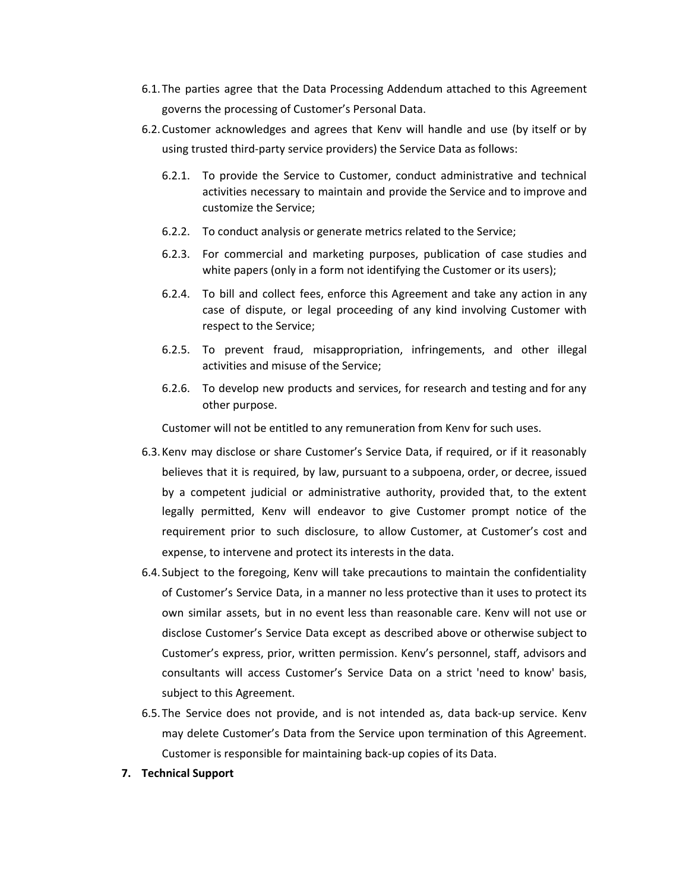- 6.1.The parties agree that the Data Processing Addendum attached to this Agreement governs the processing of Customer's Personal Data.
- 6.2.Customer acknowledges and agrees that Kenv will handle and use (by itself or by using trusted third-party service providers) the Service Data as follows:
	- 6.2.1. To provide the Service to Customer, conduct administrative and technical activities necessary to maintain and provide the Service and to improve and customize the Service;
	- 6.2.2. To conduct analysis or generate metrics related to the Service;
	- 6.2.3. For commercial and marketing purposes, publication of case studies and white papers (only in a form not identifying the Customer or its users);
	- 6.2.4. To bill and collect fees, enforce this Agreement and take any action in any case of dispute, or legal proceeding of any kind involving Customer with respect to the Service;
	- 6.2.5. To prevent fraud, misappropriation, infringements, and other illegal activities and misuse of the Service;
	- 6.2.6. To develop new products and services, for research and testing and for any other purpose.

Customer will not be entitled to any remuneration from Kenv for such uses.

- 6.3.Kenv may disclose or share Customer's Service Data, if required, or if it reasonably believes that it is required, by law, pursuant to a subpoena, order, or decree, issued by a competent judicial or administrative authority, provided that, to the extent legally permitted, Kenv will endeavor to give Customer prompt notice of the requirement prior to such disclosure, to allow Customer, at Customer's cost and expense, to intervene and protect its interests in the data.
- 6.4. Subject to the foregoing, Kenv will take precautions to maintain the confidentiality of Customer's Service Data, in a manner no less protective than it uses to protect its own similar assets, but in no event less than reasonable care. Kenv will not use or disclose Customer's Service Data except as described above or otherwise subject to Customer's express, prior, written permission. Kenv's personnel, staff, advisors and consultants will access Customer's Service Data on a strict 'need to know' basis, subject to this Agreement.
- 6.5.The Service does not provide, and is not intended as, data back-up service. Kenv may delete Customer's Data from the Service upon termination of this Agreement. Customer is responsible for maintaining back-up copies of its Data.
- **7. Technical Support**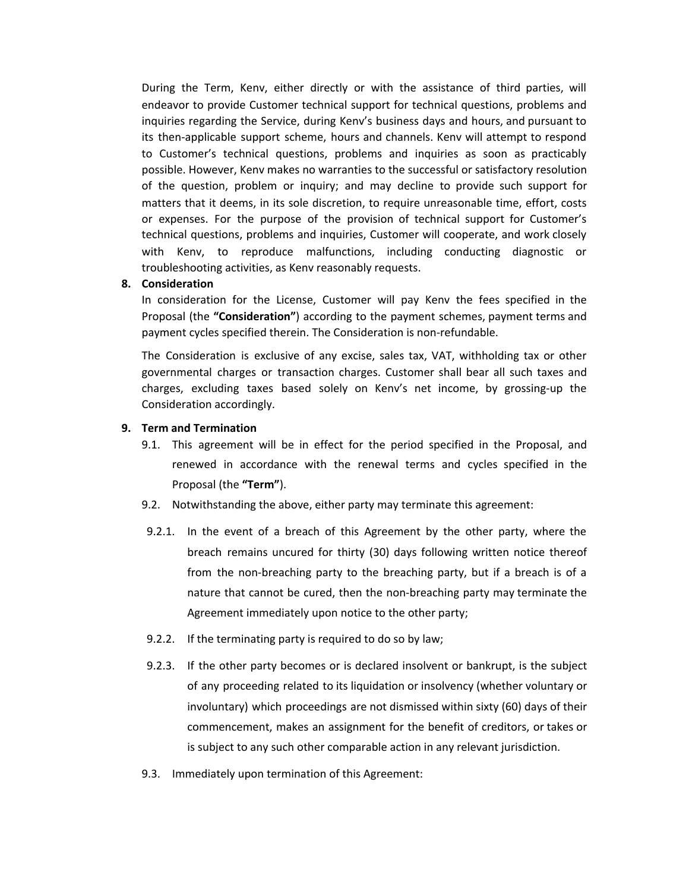During the Term, Kenv, either directly or with the assistance of third parties, will endeavor to provide Customer technical support for technical questions, problems and inquiries regarding the Service, during Kenv's business days and hours, and pursuant to its then-applicable support scheme, hours and channels. Kenv will attempt to respond to Customer's technical questions, problems and inquiries as soon as practicably possible. However, Kenv makes no warranties to the successful or satisfactory resolution of the question, problem or inquiry; and may decline to provide such support for matters that it deems, in its sole discretion, to require unreasonable time, effort, costs or expenses. For the purpose of the provision of technical support for Customer's technical questions, problems and inquiries, Customer will cooperate, and work closely with Kenv, to reproduce malfunctions, including conducting diagnostic or troubleshooting activities, as Kenv reasonably requests.

## **8. Consideration**

In consideration for the License, Customer will pay Kenv the fees specified in the Proposal (the **"Consideration"**) according to the payment schemes, payment terms and payment cycles specified therein. The Consideration is non-refundable.

The Consideration is exclusive of any excise, sales tax, VAT, withholding tax or other governmental charges or transaction charges. Customer shall bear all such taxes and charges, excluding taxes based solely on Kenv's net income, by grossing-up the Consideration accordingly.

### **9. Term and Termination**

- 9.1. This agreement will be in effect for the period specified in the Proposal, and renewed in accordance with the renewal terms and cycles specified in the Proposal (the **"Term"**).
- 9.2. Notwithstanding the above, either party may terminate this agreement:
- 9.2.1. In the event of a breach of this Agreement by the other party, where the breach remains uncured for thirty (30) days following written notice thereof from the non-breaching party to the breaching party, but if a breach is of a nature that cannot be cured, then the non-breaching party may terminate the Agreement immediately upon notice to the other party;
- 9.2.2. If the terminating party is required to do so by law;
- 9.2.3. If the other party becomes or is declared insolvent or bankrupt, is the subject of any proceeding related to its liquidation or insolvency (whether voluntary or involuntary) which proceedings are not dismissed within sixty (60) days of their commencement, makes an assignment for the benefit of creditors, or takes or is subject to any such other comparable action in any relevant jurisdiction.
- 9.3. Immediately upon termination of this Agreement: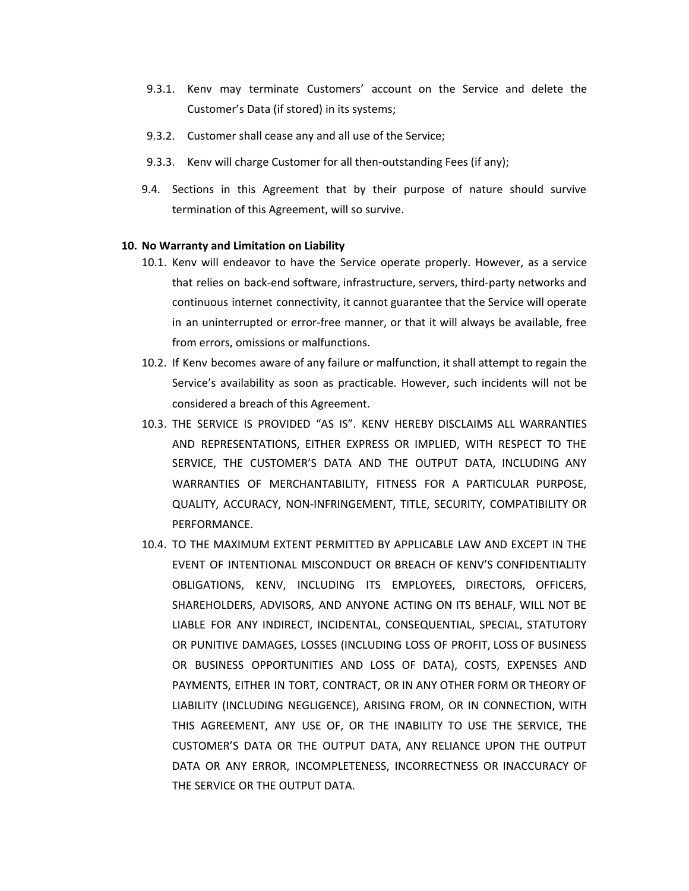- 9.3.1. Kenv may terminate Customers' account on the Service and delete the Customer's Data (if stored) in its systems;
- 9.3.2. Customer shall cease any and all use of the Service;
- 9.3.3. Kenv will charge Customer for all then-outstanding Fees (if any);
- 9.4. Sections in this Agreement that by their purpose of nature should survive termination of this Agreement, will so survive.

### **10. No Warranty and Limitation on Liability**

- 10.1. Kenv will endeavor to have the Service operate properly. However, as a service that relies on back-end software, infrastructure, servers, third-party networks and continuous internet connectivity, it cannot guarantee that the Service will operate in an uninterrupted or error-free manner, or that it will always be available, free from errors, omissions or malfunctions.
- 10.2. If Kenv becomes aware of any failure or malfunction, it shall attempt to regain the Service's availability as soon as practicable. However, such incidents will not be considered a breach of this Agreement.
- 10.3. THE SERVICE IS PROVIDED "AS IS". KENV HEREBY DISCLAIMS ALL WARRANTIES AND REPRESENTATIONS, EITHER EXPRESS OR IMPLIED, WITH RESPECT TO THE SERVICE, THE CUSTOMER'S DATA AND THE OUTPUT DATA, INCLUDING ANY WARRANTIES OF MERCHANTABILITY, FITNESS FOR A PARTICULAR PURPOSE, QUALITY, ACCURACY, NON-INFRINGEMENT, TITLE, SECURITY, COMPATIBILITY OR PERFORMANCE.
- 10.4. TO THE MAXIMUM EXTENT PERMITTED BY APPLICABLE LAW AND EXCEPT IN THE EVENT OF INTENTIONAL MISCONDUCT OR BREACH OF KENV'S CONFIDENTIALITY OBLIGATIONS, KENV, INCLUDING ITS EMPLOYEES, DIRECTORS, OFFICERS, SHAREHOLDERS, ADVISORS, AND ANYONE ACTING ON ITS BEHALF, WILL NOT BE LIABLE FOR ANY INDIRECT, INCIDENTAL, CONSEQUENTIAL, SPECIAL, STATUTORY OR PUNITIVE DAMAGES, LOSSES (INCLUDING LOSS OF PROFIT, LOSS OF BUSINESS OR BUSINESS OPPORTUNITIES AND LOSS OF DATA), COSTS, EXPENSES AND PAYMENTS, EITHER IN TORT, CONTRACT, OR IN ANY OTHER FORM OR THEORY OF LIABILITY (INCLUDING NEGLIGENCE), ARISING FROM, OR IN CONNECTION, WITH THIS AGREEMENT, ANY USE OF, OR THE INABILITY TO USE THE SERVICE, THE CUSTOMER'S DATA OR THE OUTPUT DATA, ANY RELIANCE UPON THE OUTPUT DATA OR ANY ERROR, INCOMPLETENESS, INCORRECTNESS OR INACCURACY OF THE SERVICE OR THE OUTPUT DATA.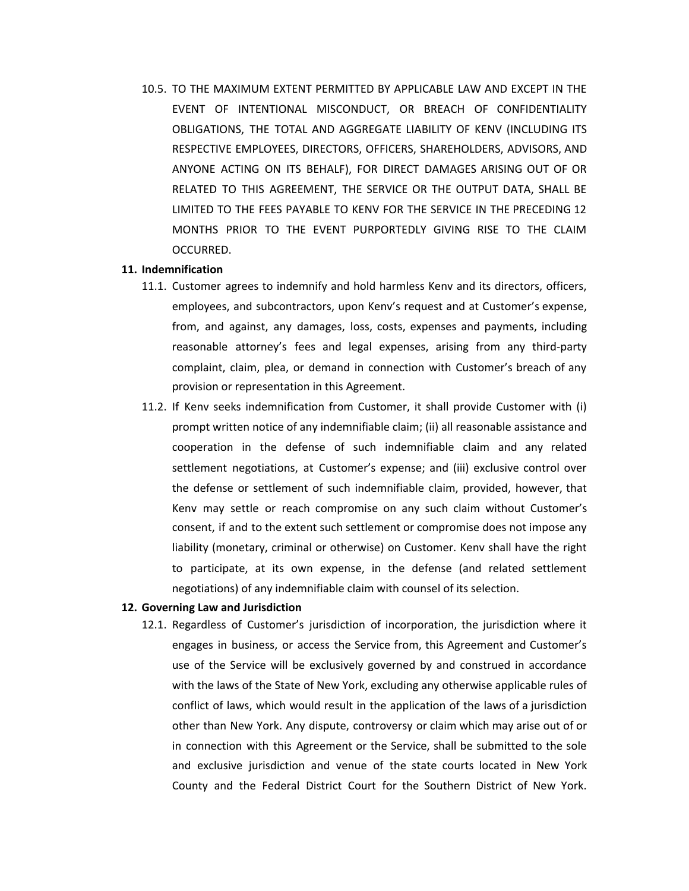10.5. TO THE MAXIMUM EXTENT PERMITTED BY APPLICABLE LAW AND EXCEPT IN THE EVENT OF INTENTIONAL MISCONDUCT, OR BREACH OF CONFIDENTIALITY OBLIGATIONS, THE TOTAL AND AGGREGATE LIABILITY OF KENV (INCLUDING ITS RESPECTIVE EMPLOYEES, DIRECTORS, OFFICERS, SHAREHOLDERS, ADVISORS, AND ANYONE ACTING ON ITS BEHALF), FOR DIRECT DAMAGES ARISING OUT OF OR RELATED TO THIS AGREEMENT, THE SERVICE OR THE OUTPUT DATA, SHALL BE LIMITED TO THE FEES PAYABLE TO KENV FOR THE SERVICE IN THE PRECEDING 12 MONTHS PRIOR TO THE EVENT PURPORTEDLY GIVING RISE TO THE CLAIM OCCURRED.

### **11. Indemnification**

- 11.1. Customer agrees to indemnify and hold harmless Kenv and its directors, officers, employees, and subcontractors, upon Kenv's request and at Customer's expense, from, and against, any damages, loss, costs, expenses and payments, including reasonable attorney's fees and legal expenses, arising from any third-party complaint, claim, plea, or demand in connection with Customer's breach of any provision or representation in this Agreement.
- 11.2. If Kenv seeks indemnification from Customer, it shall provide Customer with (i) prompt written notice of any indemnifiable claim; (ii) all reasonable assistance and cooperation in the defense of such indemnifiable claim and any related settlement negotiations, at Customer's expense; and (iii) exclusive control over the defense or settlement of such indemnifiable claim, provided, however, that Kenv may settle or reach compromise on any such claim without Customer's consent, if and to the extent such settlement or compromise does not impose any liability (monetary, criminal or otherwise) on Customer. Kenv shall have the right to participate, at its own expense, in the defense (and related settlement negotiations) of any indemnifiable claim with counsel of its selection.

#### **12. Governing Law and Jurisdiction**

12.1. Regardless of Customer's jurisdiction of incorporation, the jurisdiction where it engages in business, or access the Service from, this Agreement and Customer's use of the Service will be exclusively governed by and construed in accordance with the laws of the State of New York, excluding any otherwise applicable rules of conflict of laws, which would result in the application of the laws of a jurisdiction other than New York. Any dispute, controversy or claim which may arise out of or in connection with this Agreement or the Service, shall be submitted to the sole and exclusive jurisdiction and venue of the state courts located in New York County and the Federal District Court for the Southern District of New York.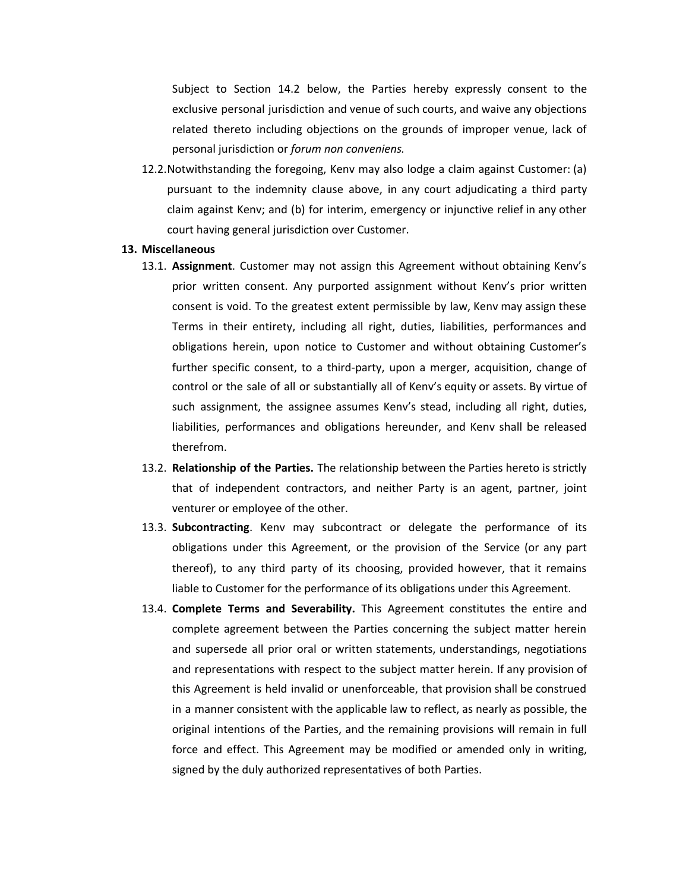Subject to Section 14.2 below, the Parties hereby expressly consent to the exclusive personal jurisdiction and venue of such courts, and waive any objections related thereto including objections on the grounds of improper venue, lack of personal jurisdiction or *forum non conveniens.*

12.2.Notwithstanding the foregoing, Kenv may also lodge a claim against Customer: (a) pursuant to the indemnity clause above, in any court adjudicating a third party claim against Kenv; and (b) for interim, emergency or injunctive relief in any other court having general jurisdiction over Customer.

#### **13. Miscellaneous**

- 13.1. **Assignment**. Customer may not assign this Agreement without obtaining Kenv's prior written consent. Any purported assignment without Kenv's prior written consent is void. To the greatest extent permissible by law, Kenv may assign these Terms in their entirety, including all right, duties, liabilities, performances and obligations herein, upon notice to Customer and without obtaining Customer's further specific consent, to a third-party, upon a merger, acquisition, change of control or the sale of all or substantially all of Kenv's equity or assets. By virtue of such assignment, the assignee assumes Kenv's stead, including all right, duties, liabilities, performances and obligations hereunder, and Kenv shall be released therefrom.
- 13.2. **Relationship of the Parties.** The relationship between the Parties hereto is strictly that of independent contractors, and neither Party is an agent, partner, joint venturer or employee of the other.
- 13.3. **Subcontracting**. Kenv may subcontract or delegate the performance of its obligations under this Agreement, or the provision of the Service (or any part thereof), to any third party of its choosing, provided however, that it remains liable to Customer for the performance of its obligations under this Agreement.
- 13.4. **Complete Terms and Severability.** This Agreement constitutes the entire and complete agreement between the Parties concerning the subject matter herein and supersede all prior oral or written statements, understandings, negotiations and representations with respect to the subject matter herein. If any provision of this Agreement is held invalid or unenforceable, that provision shall be construed in a manner consistent with the applicable law to reflect, as nearly as possible, the original intentions of the Parties, and the remaining provisions will remain in full force and effect. This Agreement may be modified or amended only in writing, signed by the duly authorized representatives of both Parties.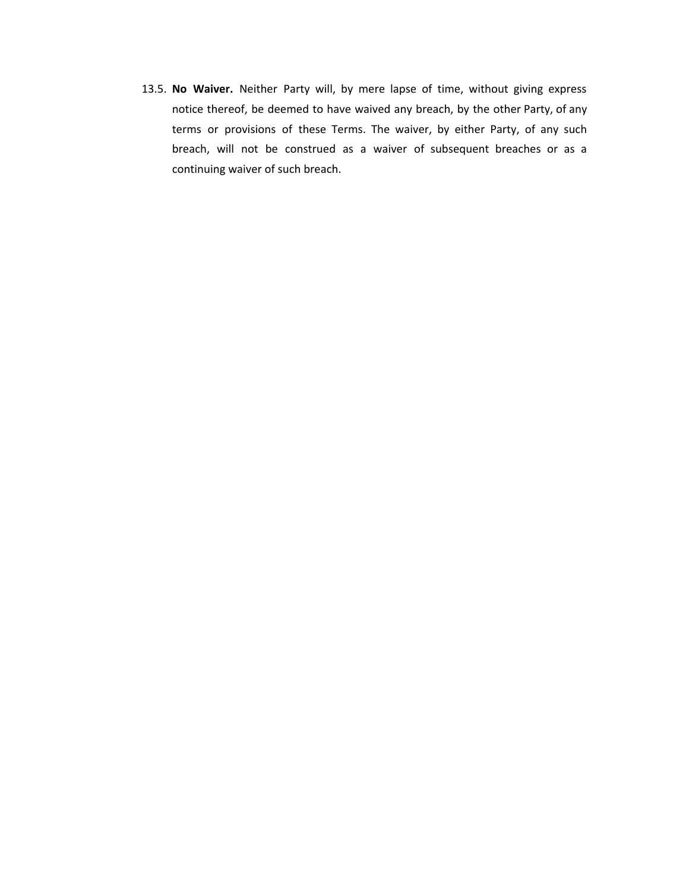13.5. **No Waiver.** Neither Party will, by mere lapse of time, without giving express notice thereof, be deemed to have waived any breach, by the other Party, of any terms or provisions of these Terms. The waiver, by either Party, of any such breach, will not be construed as a waiver of subsequent breaches or as a continuing waiver of such breach.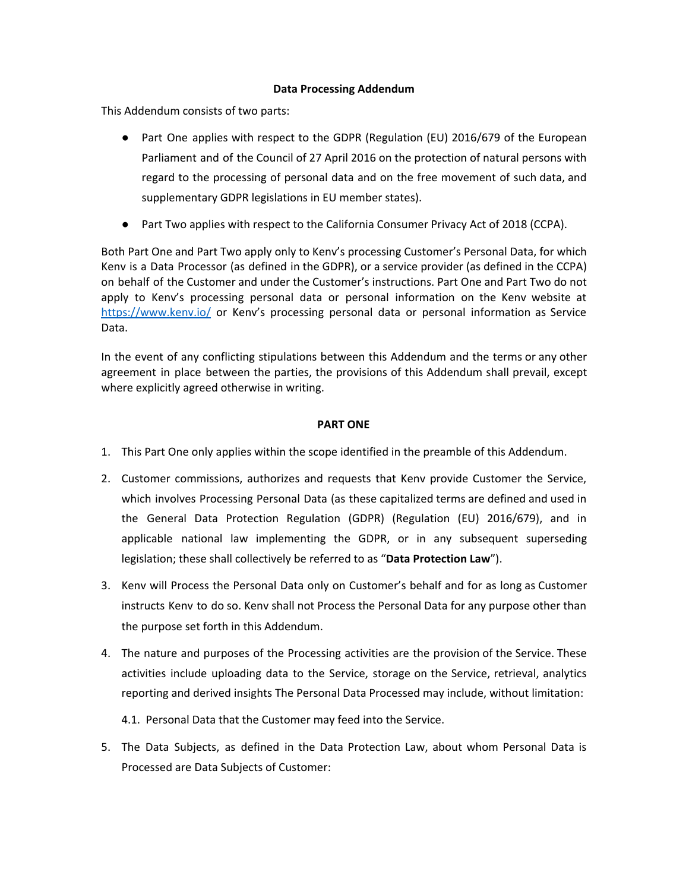# **Data Processing Addendum**

This Addendum consists of two parts:

- Part One applies with respect to the GDPR (Regulation (EU) 2016/679 of the European Parliament and of the Council of 27 April 2016 on the protection of natural persons with regard to the processing of personal data and on the free movement of such data, and supplementary GDPR legislations in EU member states).
- Part Two applies with respect to the California Consumer Privacy Act of 2018 (CCPA).

Both Part One and Part Two apply only to Kenv's processing Customer's Personal Data, for which Kenv is a Data Processor (as defined in the GDPR), or a service provider (as defined in the CCPA) on behalf of the Customer and under the Customer's instructions. Part One and Part Two do not apply to Kenv's processing personal data or personal information on the Kenv website at <https://www.kenv.io/> or Kenv's processing personal data or personal information as Service Data.

In the event of any conflicting stipulations between this Addendum and the terms or any other agreement in place between the parties, the provisions of this Addendum shall prevail, except where explicitly agreed otherwise in writing.

# **PART ONE**

- 1. This Part One only applies within the scope identified in the preamble of this Addendum.
- 2. Customer commissions, authorizes and requests that Kenv provide Customer the Service, which involves Processing Personal Data (as these capitalized terms are defined and used in the General Data Protection Regulation (GDPR) (Regulation (EU) 2016/679), and in applicable national law implementing the GDPR, or in any subsequent superseding legislation; these shall collectively be referred to as "**Data Protection Law**").
- 3. Kenv will Process the Personal Data only on Customer's behalf and for as long as Customer instructs Kenv to do so. Kenv shall not Process the Personal Data for any purpose other than the purpose set forth in this Addendum.
- 4. The nature and purposes of the Processing activities are the provision of the Service. These activities include uploading data to the Service, storage on the Service, retrieval, analytics reporting and derived insights The Personal Data Processed may include, without limitation:
	- 4.1. Personal Data that the Customer may feed into the Service.
- 5. The Data Subjects, as defined in the Data Protection Law, about whom Personal Data is Processed are Data Subjects of Customer: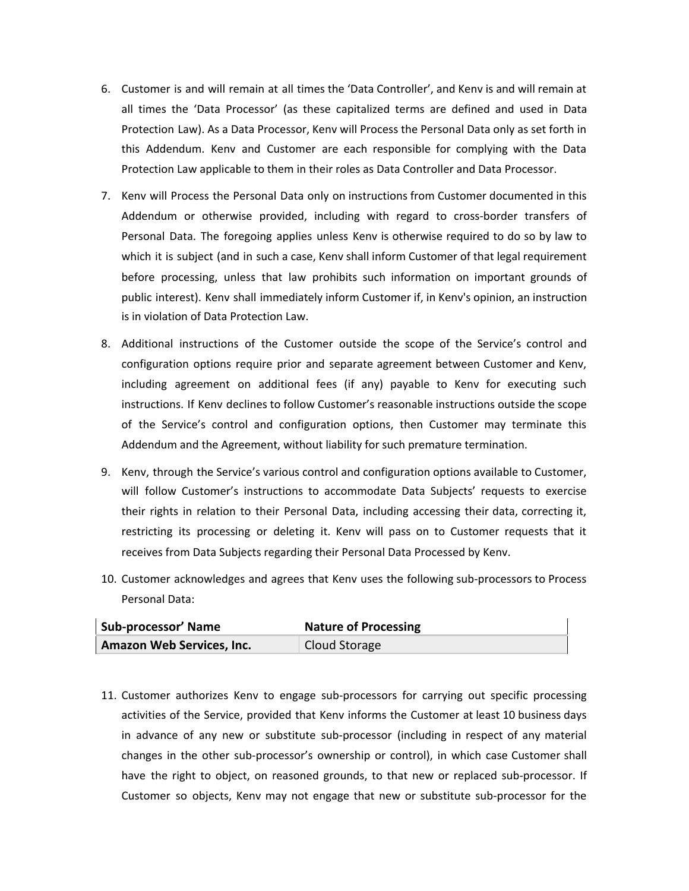- 6. Customer is and will remain at all times the 'Data Controller', and Kenv is and will remain at all times the 'Data Processor' (as these capitalized terms are defined and used in Data Protection Law). As a Data Processor, Kenv will Process the Personal Data only as set forth in this Addendum. Kenv and Customer are each responsible for complying with the Data Protection Law applicable to them in their roles as Data Controller and Data Processor.
- 7. Kenv will Process the Personal Data only on instructions from Customer documented in this Addendum or otherwise provided, including with regard to cross-border transfers of Personal Data. The foregoing applies unless Kenv is otherwise required to do so by law to which it is subject (and in such a case, Kenv shall inform Customer of that legal requirement before processing, unless that law prohibits such information on important grounds of public interest). Kenv shall immediately inform Customer if, in Kenv's opinion, an instruction is in violation of Data Protection Law.
- 8. Additional instructions of the Customer outside the scope of the Service's control and configuration options require prior and separate agreement between Customer and Kenv, including agreement on additional fees (if any) payable to Kenv for executing such instructions. If Kenv declines to follow Customer's reasonable instructions outside the scope of the Service's control and configuration options, then Customer may terminate this Addendum and the Agreement, without liability for such premature termination.
- 9. Kenv, through the Service's various control and configuration options available to Customer, will follow Customer's instructions to accommodate Data Subjects' requests to exercise their rights in relation to their Personal Data, including accessing their data, correcting it, restricting its processing or deleting it. Kenv will pass on to Customer requests that it receives from Data Subjects regarding their Personal Data Processed by Kenv.
- 10. Customer acknowledges and agrees that Kenv uses the following sub-processors to Process Personal Data:

| Sub-processor' Name              | <b>Nature of Processing</b> |
|----------------------------------|-----------------------------|
| <b>Amazon Web Services, Inc.</b> | Cloud Storage               |

11. Customer authorizes Kenv to engage sub-processors for carrying out specific processing activities of the Service, provided that Kenv informs the Customer at least 10 business days in advance of any new or substitute sub-processor (including in respect of any material changes in the other sub-processor's ownership or control), in which case Customer shall have the right to object, on reasoned grounds, to that new or replaced sub-processor. If Customer so objects, Kenv may not engage that new or substitute sub-processor for the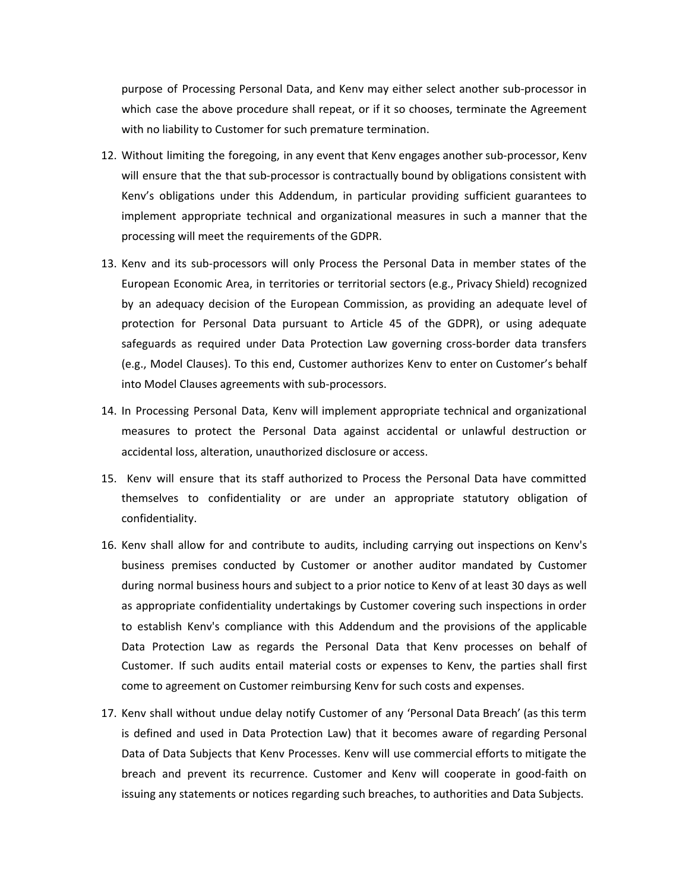purpose of Processing Personal Data, and Kenv may either select another sub-processor in which case the above procedure shall repeat, or if it so chooses, terminate the Agreement with no liability to Customer for such premature termination.

- 12. Without limiting the foregoing, in any event that Kenv engages another sub-processor, Kenv will ensure that the that sub-processor is contractually bound by obligations consistent with Kenv's obligations under this Addendum, in particular providing sufficient guarantees to implement appropriate technical and organizational measures in such a manner that the processing will meet the requirements of the GDPR.
- 13. Kenv and its sub-processors will only Process the Personal Data in member states of the European Economic Area, in territories or territorial sectors (e.g., Privacy Shield) recognized by an adequacy decision of the European Commission, as providing an adequate level of protection for Personal Data pursuant to Article 45 of the GDPR), or using adequate safeguards as required under Data Protection Law governing cross-border data transfers (e.g., Model Clauses). To this end, Customer authorizes Kenv to enter on Customer's behalf into Model Clauses agreements with sub-processors.
- 14. In Processing Personal Data, Kenv will implement appropriate technical and organizational measures to protect the Personal Data against accidental or unlawful destruction or accidental loss, alteration, unauthorized disclosure or access.
- 15. Kenv will ensure that its staff authorized to Process the Personal Data have committed themselves to confidentiality or are under an appropriate statutory obligation of confidentiality.
- 16. Kenv shall allow for and contribute to audits, including carrying out inspections on Kenv's business premises conducted by Customer or another auditor mandated by Customer during normal business hours and subject to a prior notice to Kenv of at least 30 days as well as appropriate confidentiality undertakings by Customer covering such inspections in order to establish Kenv's compliance with this Addendum and the provisions of the applicable Data Protection Law as regards the Personal Data that Kenv processes on behalf of Customer. If such audits entail material costs or expenses to Kenv, the parties shall first come to agreement on Customer reimbursing Kenv for such costs and expenses.
- 17. Kenv shall without undue delay notify Customer of any 'Personal Data Breach' (as this term is defined and used in Data Protection Law) that it becomes aware of regarding Personal Data of Data Subjects that Kenv Processes. Kenv will use commercial efforts to mitigate the breach and prevent its recurrence. Customer and Kenv will cooperate in good-faith on issuing any statements or notices regarding such breaches, to authorities and Data Subjects.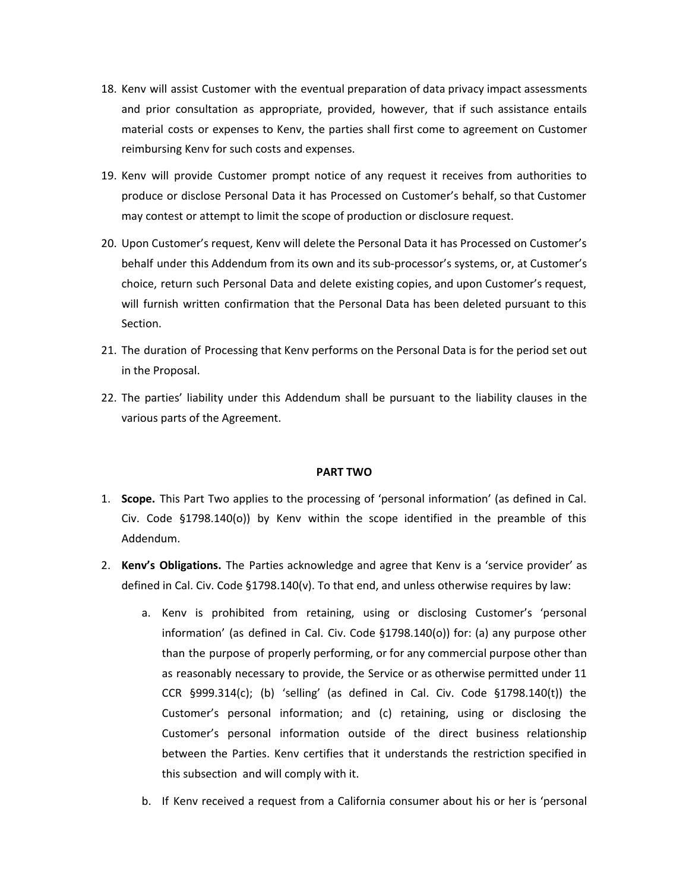- 18. Kenv will assist Customer with the eventual preparation of data privacy impact assessments and prior consultation as appropriate, provided, however, that if such assistance entails material costs or expenses to Kenv, the parties shall first come to agreement on Customer reimbursing Kenv for such costs and expenses.
- 19. Kenv will provide Customer prompt notice of any request it receives from authorities to produce or disclose Personal Data it has Processed on Customer's behalf, so that Customer may contest or attempt to limit the scope of production or disclosure request.
- 20. Upon Customer's request, Kenv will delete the Personal Data it has Processed on Customer's behalf under this Addendum from its own and its sub-processor's systems, or, at Customer's choice, return such Personal Data and delete existing copies, and upon Customer's request, will furnish written confirmation that the Personal Data has been deleted pursuant to this Section.
- 21. The duration of Processing that Kenv performs on the Personal Data is for the period set out in the Proposal.
- 22. The parties' liability under this Addendum shall be pursuant to the liability clauses in the various parts of the Agreement.

## **PART TWO**

- 1. **Scope.** This Part Two applies to the processing of 'personal information' (as defined in Cal. Civ. Code §1798.140(o)) by Kenv within the scope identified in the preamble of this Addendum.
- 2. **Kenv's Obligations.** The Parties acknowledge and agree that Kenv is a 'service provider' as defined in Cal. Civ. Code §1798.140(v). To that end, and unless otherwise requires by law:
	- a. Kenv is prohibited from retaining, using or disclosing Customer's 'personal information' (as defined in Cal. Civ. Code §1798.140(o)) for: (a) any purpose other than the purpose of properly performing, or for any commercial purpose other than as reasonably necessary to provide, the Service or as otherwise permitted under 11 CCR §999.314(c); (b) 'selling' (as defined in Cal. Civ. Code §1798.140(t)) the Customer's personal information; and (c) retaining, using or disclosing the Customer's personal information outside of the direct business relationship between the Parties. Kenv certifies that it understands the restriction specified in this subsection and will comply with it.
	- b. If Kenv received a request from a California consumer about his or her is 'personal